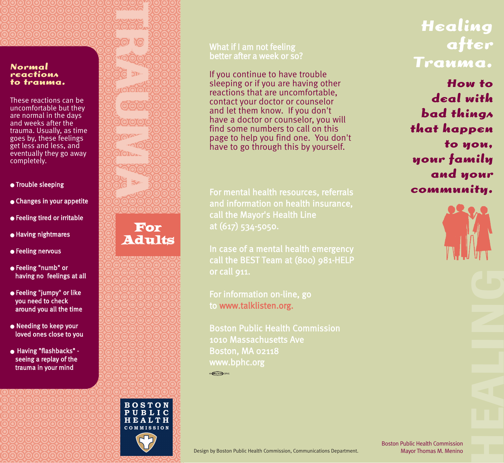**TRAUMA YO** 

#### **Normal reactions to trauma.**

These reactions can be uncomfortable but they are normal in the days and weeks after the trauma. Usually, as time goes by, these feelings get less and less, and eventually they go away completely.

- Trouble sleeping
- Changes in your appetite
- Feeling tired or irritable

For Adults

**BOSTON** PUBLIC HEALTH COMMISSION

 $10000$ 

**GOOD** 

by.

රත්රය

1010101 YOYAY -റൂറി  $\chi_{\rm O~L_{\rm A}}$ 

**ISO** 

- Having nightmares
- Feeling nervous
- Feeling "numb" or having no feelings at all
- Feeling "jumpy" or like you need to check around you all the time
- Needing to keep your loved ones close to you
- Having "flashbacks" seeing a replay of the trauma in your mind

### What if I am not feeling better after a week or so?

If you continue to have trouble sleeping or if you are having other reactions that are uncomfortable, contact your doctor or counselor and let them know. If you don't have a doctor or counselor, you will find some numbers to call on this page to help you find one. You don't have to go through this by yourself.

For mental health resources, referrals and information on health insurance, call the Mayor's Health Line at (617) 534-5050.

In case of a mental health emergency call the BEST Team at (800) 981-HELP or call 911.

For information on-line, go to www.talklisten.org.

 $\circ$   $\circ$   $\circ$   $\circ$   $\circ$   $\circ$ 

Boston Public Health Commission 1010 Massachusetts Ave Boston, MA 02118 www.bphc.org

## **Healing after Trauma.**

**How to deal with bad things that happen to you, your family and your community.**



Design by Boston Public Health Commission, Communications Department.

Boston Public Health Commission Mayor Thomas M. Menino